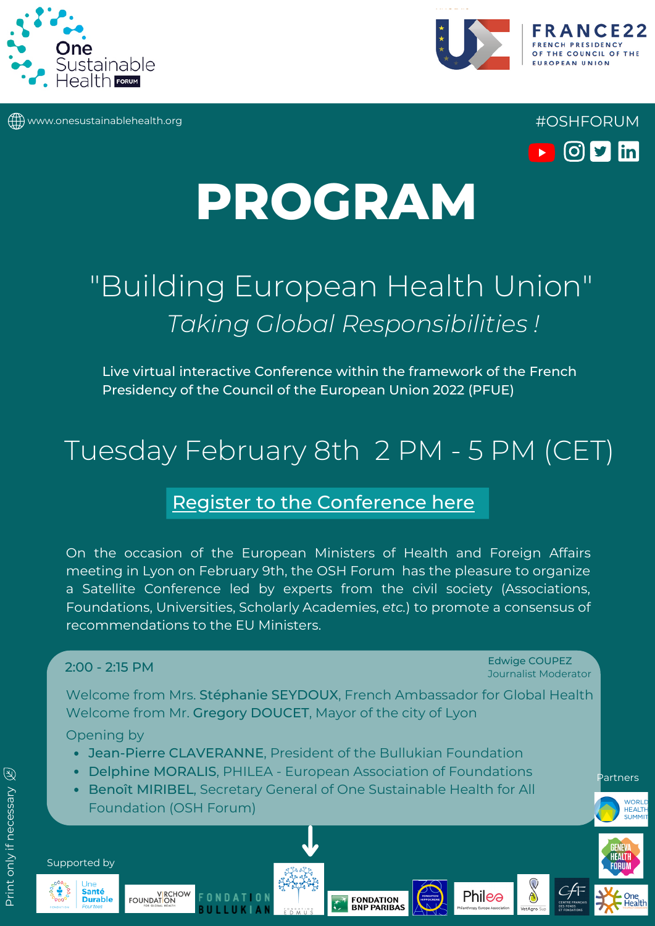

www.onesustainablehealth.org #OSHFORUM





# **PROGRAM**

# "Building European Health Union" *Taking Global Responsibilities !*

Live virtual interactive Conference within the framework of the French Presidency of the Council of the European Union 2022 (PFUE)

## Tuesday February 8th 2 PM - 5 PM (CET)

### Register to the [Conference](https://artcast-medical.zoom.us/webinar/register/WN_8i76GoJCQoS83eyX5vsA7w) here

On the occasion of the European Ministers of Health and Foreign Affairs meeting in Lyon on February 9th, the OSH Forum has the pleasure to organize a Satellite Conference led by experts from the civil society (Associations, Foundations, Universities, Scholarly Academies, *etc.*) to promote a consensus of recommendations to the EU Ministers.

#### 2:00 - 2:15 PM

Edwige COUPEZ Journalist Moderator

Welcome from Mrs. Stéphanie SEYDOUX, French Ambassador for Global Health Welcome from Mr. Gregory DOUCET, Mayor of the city of Lyon

Opening by

- Jean-Pierre CLAVERANNE, President of the Bullukian Foundation
- Delphine MORALIS, PHILEA European Association of Foundations
- **Benoît MIRIBEL, Secretary General of One Sustainable Health for All** Foundation (OSH Forum)



Supported by







Philea





HEALTH

Partners

**WORL HEALT**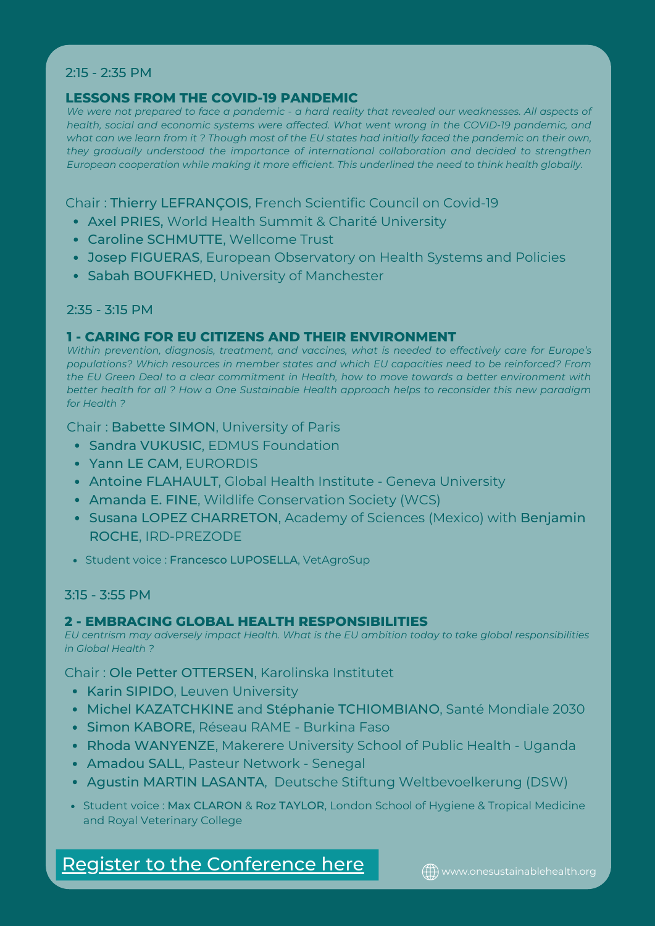#### 2:15 - 2:35 PM

#### **LESSONS FROM THE COVID-19 PANDEMIC**

We were not prepared to face a pandemic - a hard reality that revealed our weaknesses. All aspects of *health, social and economic systems were affected. What went wrong in the COVID-19 pandemic, and* what can we learn from it ? Though most of the EU states had initially faced the pandemic on their own, *they gradually understood the importance of international collaboration and decided to strengthen European cooperation while making it more efficient. This underlined the need to think health globally.*

Chair : Thierry LEFRANÇOIS, French Scientific Council on Covid-19

- Axel PRIES, World Health Summit & Charité University
- Caroline SCHMUTTE, Wellcome Trust
- Josep FIGUERAS, European Observatory on Health Systems and Policies
- Sabah BOUFKHED, University of Manchester

#### 2:35 - 3:15 PM

#### **1 - CARING FOR EU CITIZENS AND THEIR ENVIRONMENT**

*Within prevention, diagnosis, treatment, and vaccines, what is needed to effectively care for Europe's populations? Which resources in member states and which EU capacities need to be reinforced? From the EU Green Deal to a clear commitment in Health, how to move towards a better environment with better health for all ? How a One Sustainable Health approach helps to reconsider this new paradigm for Health ?*

Chair : Babette SIMON, University of Paris

- **Sandra VUKUSIC, EDMUS Foundation**
- Yann LE CAM, EURORDIS
- Antoine FLAHAULT, Global Health Institute Geneva University
- Amanda E. FINE, Wildlife Conservation Society (WCS)
- Susana LOPEZ CHARRETON, Academy of Sciences (Mexico) with Benjamin ROCHE, IRD-PREZODE
- Student voice : Francesco LUPOSELLA, VetAgroSup

#### 3:15 - 3:55 PM

#### **2 - EMBRACING GLOBAL HEALTH RESPONSIBILITIES**

*EU centrism may adversely impact Health. What is the EU ambition today to take global responsibilities in Global Health ?*

Chair : Ole Petter OTTERSEN, Karolinska Institutet

- Karin SIPIDO, Leuven University
- Michel KAZATCHKINE and Stéphanie TCHIOMBIANO, Santé Mondiale 2030
- **Simon KABORE, Réseau RAME Burkina Faso**
- Rhoda WANYENZE, Makerere University School of Public Health Uganda
- Amadou SALL, Pasteur Network Senegal
- Agustin MARTIN LASANTA, Deutsche Stiftung Weltbevoelkerung (DSW)
- Student voice : Max CLARON & Roz TAYLOR, London School of Hygiene & Tropical Medicine and Royal Veterinary College

Register to the [Conference](https://artcast-medical.zoom.us/webinar/register/WN_8i76GoJCQoS83eyX5vsA7w) here **with a supersuper and integral and Regista**l and Registal A.org